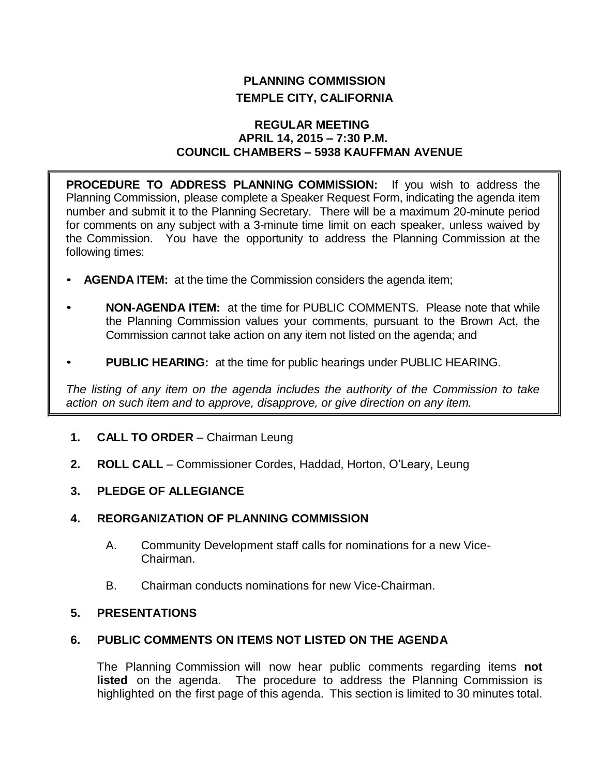# **PLANNING COMMISSION TEMPLE CITY, CALIFORNIA**

## **REGULAR MEETING APRIL 14, 2015 – 7:30 P.M. COUNCIL CHAMBERS – 5938 KAUFFMAN AVENUE**

**PROCEDURE TO ADDRESS PLANNING COMMISSION:** If you wish to address the Planning Commission, please complete a Speaker Request Form, indicating the agenda item number and submit it to the Planning Secretary. There will be a maximum 20-minute period for comments on any subject with a 3-minute time limit on each speaker, unless waived by the Commission. You have the opportunity to address the Planning Commission at the following times:

- **AGENDA ITEM:** at the time the Commission considers the agenda item;
- **NON-AGENDA ITEM:** at the time for PUBLIC COMMENTS. Please note that while the Planning Commission values your comments, pursuant to the Brown Act, the Commission cannot take action on any item not listed on the agenda; and
- **PUBLIC HEARING:** at the time for public hearings under PUBLIC HEARING.

*The listing of any item on the agenda includes the authority of the Commission to take action on such item and to approve, disapprove, or give direction on any item.*

- **1. CALL TO ORDER**  Chairman Leung
- **2. ROLL CALL**  Commissioner Cordes, Haddad, Horton, O'Leary, Leung
- **3. PLEDGE OF ALLEGIANCE**

## **4. REORGANIZATION OF PLANNING COMMISSION**

- A. Community Development staff calls for nominations for a new Vice-Chairman.
- B. Chairman conducts nominations for new Vice-Chairman.

## **5. PRESENTATIONS**

## **6. PUBLIC COMMENTS ON ITEMS NOT LISTED ON THE AGENDA**

The Planning Commission will now hear public comments regarding items **not listed** on the agenda. The procedure to address the Planning Commission is highlighted on the first page of this agenda. This section is limited to 30 minutes total.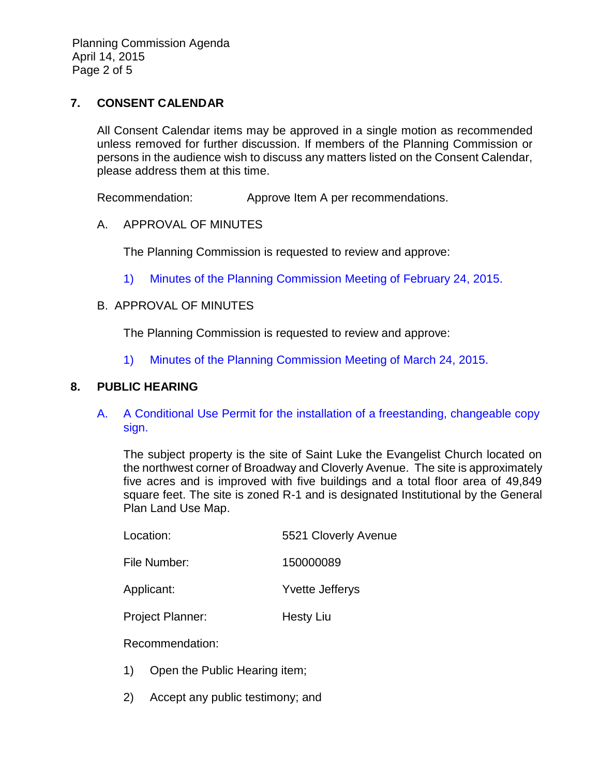Planning Commission Agenda April 14, 2015 Page 2 of 5

## **7. CONSENT CALENDAR**

All Consent Calendar items may be approved in a single motion as recommended unless removed for further discussion. If members of the Planning Commission or persons in the audience wish to discuss any matters listed on the Consent Calendar, please address them at this time.

Recommendation: Approve Item A per recommendations.

## A. APPROVAL OF MINUTES

The Planning Commission is requested to review and approve:

1) Minutes of the [Planning Commission Meeting](http://ca-templecity.civicplus.com/DocumentCenter/View/2917) of February 24, 2015.

#### B. APPROVAL OF MINUTES

The Planning Commission is requested to review and approve:

1) Minutes of the [Planning Commission Meeting](http://ca-templecity.civicplus.com/DocumentCenter/View/2918) of March 24, 2015.

## **8. PUBLIC HEARING**

A. [A Conditional Use Permit for the installation of a freestanding, changeable copy](http://ca-templecity.civicplus.com/DocumentCenter/View/2915)  [sign.](http://ca-templecity.civicplus.com/DocumentCenter/View/2915)

The subject property is the site of Saint Luke the Evangelist Church located on the northwest corner of Broadway and Cloverly Avenue. The site is approximately five acres and is improved with five buildings and a total floor area of 49,849 square feet. The site is zoned R-1 and is designated Institutional by the General Plan Land Use Map.

| Location:               | 5521 Cloverly Avenue   |  |
|-------------------------|------------------------|--|
| File Number:            | 150000089              |  |
| Applicant:              | <b>Yvette Jefferys</b> |  |
| <b>Project Planner:</b> | <b>Hesty Liu</b>       |  |

Recommendation:

- 1) Open the Public Hearing item;
- 2) Accept any public testimony; and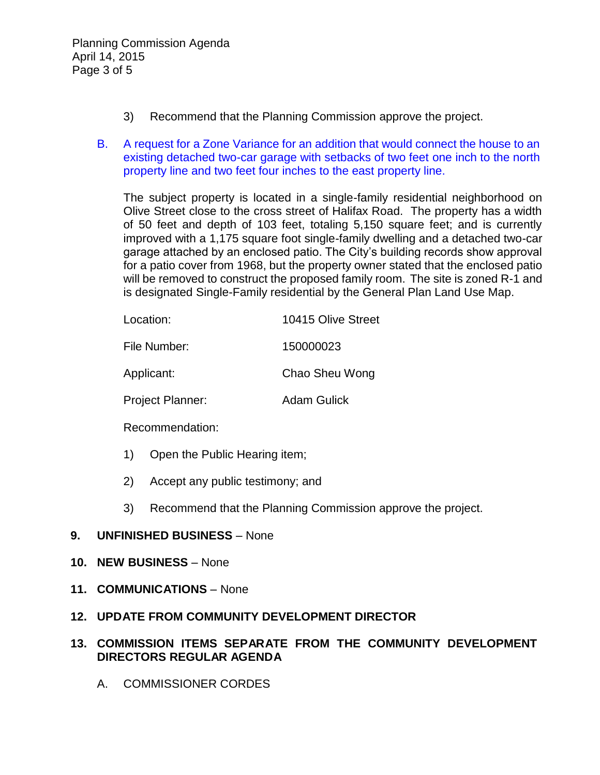- 3) Recommend that the Planning Commission approve the project.
- B. [A request for a Zone Variance for an addition that would connect the house to an](http://ca-templecity.civicplus.com/DocumentCenter/View/2916)  [existing detached two-car garage with setbacks of two feet one inch to the north](http://ca-templecity.civicplus.com/DocumentCenter/View/2916)  [property line and two feet four inches to the east property line.](http://ca-templecity.civicplus.com/DocumentCenter/View/2916)

The subject property is located in a single-family residential neighborhood on Olive Street close to the cross street of Halifax Road. The property has a width of 50 feet and depth of 103 feet, totaling 5,150 square feet; and is currently improved with a 1,175 square foot single-family dwelling and a detached two-car garage attached by an enclosed patio. The City's building records show approval for a patio cover from 1968, but the property owner stated that the enclosed patio will be removed to construct the proposed family room. The site is zoned R-1 and is designated Single-Family residential by the General Plan Land Use Map.

| Location:               | 10415 Olive Street |  |  |
|-------------------------|--------------------|--|--|
| File Number:            | 150000023          |  |  |
| Applicant:              | Chao Sheu Wong     |  |  |
| <b>Project Planner:</b> | <b>Adam Gulick</b> |  |  |

Recommendation:

- 1) Open the Public Hearing item;
- 2) Accept any public testimony; and
- 3) Recommend that the Planning Commission approve the project.

## **9. UNFINISHED BUSINESS** – None

- **10. NEW BUSINESS** None
- **11. COMMUNICATIONS** None

## **12. UPDATE FROM COMMUNITY DEVELOPMENT DIRECTOR**

## **13. COMMISSION ITEMS SEPARATE FROM THE COMMUNITY DEVELOPMENT DIRECTORS REGULAR AGENDA**

A. COMMISSIONER CORDES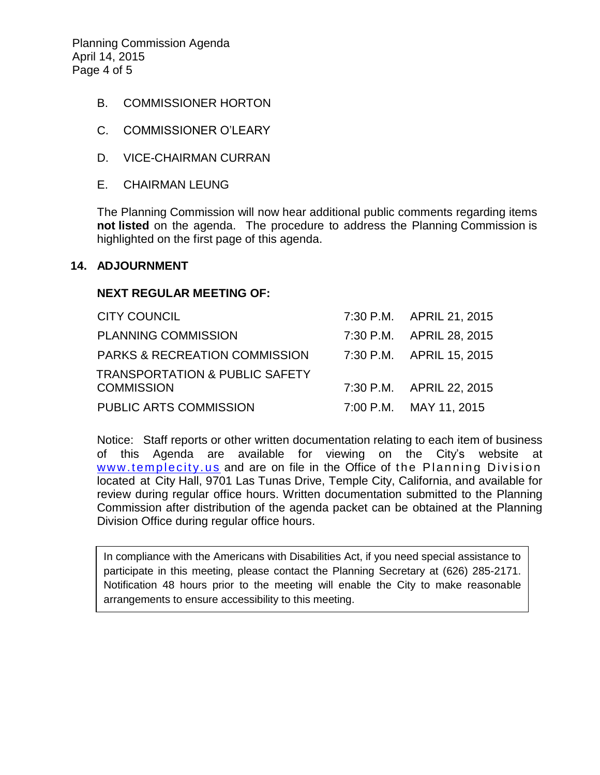Planning Commission Agenda April 14, 2015 Page 4 of 5

- B. COMMISSIONER HORTON
- C. COMMISSIONER O'LEARY
- D. VICE-CHAIRMAN CURRAN
- E. CHAIRMAN LEUNG

The Planning Commission will now hear additional public comments regarding items **not listed** on the agenda. The procedure to address the Planning Commission is highlighted on the first page of this agenda.

#### **14. ADJOURNMENT**

#### **NEXT REGULAR MEETING OF:**

| <b>CITY COUNCIL</b>                       | 7:30 P.M. APRIL 21, 2015 |
|-------------------------------------------|--------------------------|
| <b>PLANNING COMMISSION</b>                | 7:30 P.M. APRIL 28, 2015 |
| <b>PARKS &amp; RECREATION COMMISSION</b>  | 7:30 P.M. APRIL 15, 2015 |
| <b>TRANSPORTATION &amp; PUBLIC SAFETY</b> |                          |
| <b>COMMISSION</b>                         | 7:30 P.M. APRIL 22, 2015 |
| PUBLIC ARTS COMMISSION                    | 7:00 P.M. MAY 11, 2015   |

Notice: Staff reports or other written documentation relating to each item of business of this Agenda are available for viewing on the City's website at www.templecity.us and are on file in the Office of the Planning Division located at City Hall, 9701 Las Tunas Drive, Temple City, California, and available for review during regular office hours. Written documentation submitted to the Planning Commission after distribution of the agenda packet can be obtained at the Planning Division Office during regular office hours.

In compliance with the Americans with Disabilities Act, if you need special assistance to participate in this meeting, please contact the Planning Secretary at (626) 285-2171. Notification 48 hours prior to the meeting will enable the City to make reasonable arrangements to ensure accessibility to this meeting.